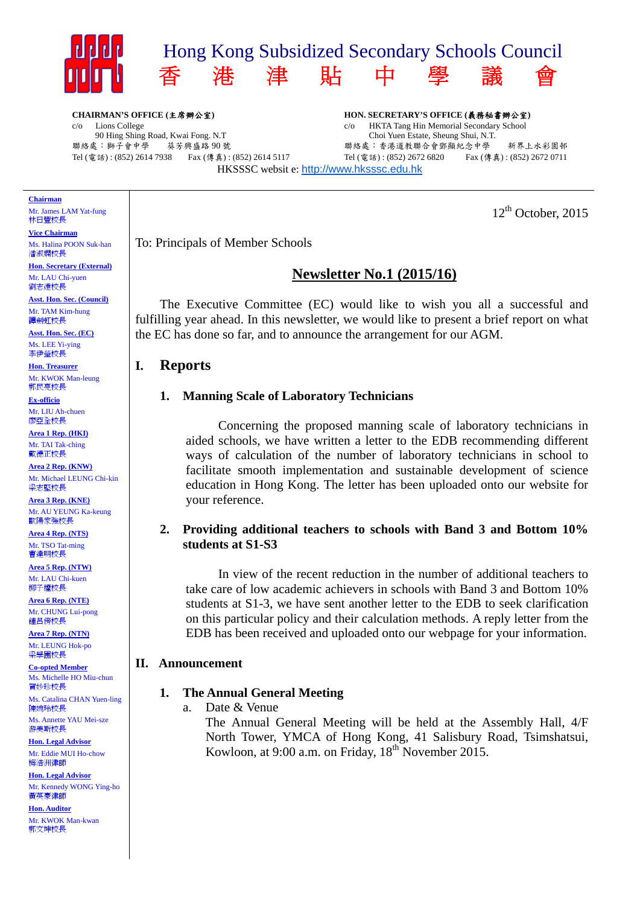

**CHAIRMAN'S OFFICE (**主席辦公室**)**  c/o Lions College 90 Hing Shing Road, Kwai Fong. N.T<br>怎:獅子會中學<br> 聯絡處:獅子會中學 Tel (電話) : (852) 2614 7938 Fax (傳真) : (852) 2614 5117

**HON. SECRETARY'S OFFICE (**義務秘書辦公室**)**  c/o HKTA Tang Hin Memorial Secondary School Choi Yuen Estate, Sheung Shui, N.T. 聯絡處:香港道教聯合會鄧顯紀念中學 新界上水彩園邨 Tel (電話) : (852) 2672 6820 Fax (傳真) : (852) 2672 0711 HKSSSC websit e: http://www.hksssc.edu.hk

 $12<sup>th</sup>$  October, 2015

To: Principals of Member Schools

# **Newsletter No.1 (2015/16)**

 The Executive Committee (EC) would like to wish you all a successful and fulfilling year ahead. In this newsletter, we would like to present a brief report on what the EC has done so far, and to announce the arrangement for our AGM.

# **I. Reports**

## **1. Manning Scale of Laboratory Technicians**

Concerning the proposed manning scale of laboratory technicians in aided schools, we have written a letter to the EDB recommending different ways of calculation of the number of laboratory technicians in school to facilitate smooth implementation and sustainable development of science education in Hong Kong. The letter has been uploaded onto our website for your reference.

## **2. Providing additional teachers to schools with Band 3 and Bottom 10% students at S1-S3**

In view of the recent reduction in the number of additional teachers to take care of low academic achievers in schools with Band 3 and Bottom 10% students at S1-3, we have sent another letter to the EDB to seek clarification on this particular policy and their calculation methods. A reply letter from the EDB has been received and uploaded onto our webpage for your information.

## **II. Announcement**

## **1. The Annual General Meeting**

a. Date & Venue

The Annual General Meeting will be held at the Assembly Hall, 4/F North Tower, YMCA of Hong Kong, 41 Salisbury Road, Tsimshatsui, Kowloon, at 9:00 a.m. on Friday,  $18<sup>th</sup>$  November 2015.



Mr. James LAM Yat-fung 林日豐校長

**Vice Chairman**  Ms. Halina POON Suk-han 潘淑嫻校長

**Hon. Secretary (External)**  Mr. LAU Chi-yuen 劉志遠校長

**Asst. Hon. Sec. (Council)**  Mr. TAM Kim-hung 譚劍虹校長

**Asst. Hon. Sec. (EC)**  Ms. LEE Yi-ying 李伊瑩校長

**Hon. Treasurer**  Mr. KWOK Man-leung 郭民亮校長

**Ex-officio**  Mr. LIU Ah-chuen 廖亞全校長

**Area 1 Rep. (HKI)**  Mr. TAI Tak-ching 戴德正校長

**Area 2 Rep. (KNW)**  Mr. Michael LEUNG Chi-kin 梁志堅校長

**Area 3 Rep. (KNE)**  Mr. AU YEUNG Ka-keung 歐陽家強校長

**Area 4 Rep. (NTS)**  Mr. TSO Tat-ming 曹達明校長

**Area 5 Rep. (NTW)**  Mr. LAU Chi-kuen 柳子權校長

**Area 6 Rep. (NTE)**  Mr. CHUNG Lui-pong 鍾呂傍校長

**Area 7 Rep. (NTN)**  Mr. LEUNG Hok-po 梁學圃校長

**Co-opted Member**  Ms. Michelle HO Miu-chun 賀妙珍校長 Ms. Catalina CHAN Yuen-ling 陳婉玲校長

Ms. Annette YAU Mei-sze 游美斯校長

**Hon. Legal Advisor**  Mr. Eddie MUI Ho-chow 梅浩洲律師

**Hon. Legal Advisor**  Mr. Kennedy WONG Ying-ho 黃英豪律師

**Hon. Auditor**  Mr. KWOK Man-kwan 郭文坤校長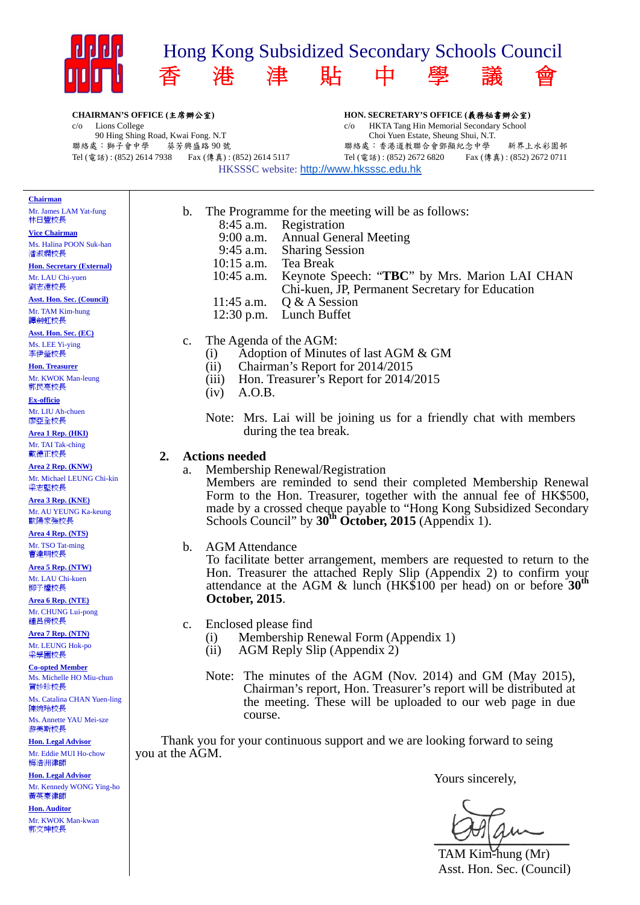

**CHAIRMAN'S OFFICE (**主席辦公室**)** 

c/o Lions College 90 Hing Shing Road, Kwai Fong. N.T 聯絡處:獅子會中學 葵芳興盛路 90 號 Tel (電話) : (852) 2614 7938 Fax (傳真) : (852) 2614 5117 **HON. SECRETARY'S OFFICE (**義務秘書辦公室**)**  c/o HKTA Tang Hin Memorial Secondary School Choi Yuen Estate, Sheung Shui, N.T. 聯絡處:香港道教聯合會鄧顯紀念中學 新界上水彩園邨 Tel (電話) : (852) 2672 6820 Fax (傳真) : (852) 2672 0711

HKSSSC website: http://www.hksssc.edu.hk

|  | aairma |
|--|--------|
|--|--------|

Mr. James LAM Yat-fung 林日豐校長

**Vice Chairman**  Ms. Halina POON Suk-han 潘淑嫻校長

**Hon. Secretary (External)**  Mr. LAU Chi-yuen 劉志遠校長

**Asst. Hon. Sec. (Council)**  Mr. TAM Kim-hung 譚劍虹校長

**Asst. Hon. Sec. (EC)**  Ms. LEE Yi-ying 李伊瑩校長

**Hon. Treasurer**  Mr. KWOK Man-leung 郭民亮校長

**Ex-officio**  Mr. LIU Ah-chuen

廖亞全校長 **Area 1 Rep. (HKI)**  Mr. TAI Tak-ching

戴德正校長 **Area 2 Rep. (KNW)** 

Mr. Michael LEUNG Chi-kin 梁志堅校長

**Area 3 Rep. (KNE)**  Mr. AU YEUNG Ka-keung 歐陽家強校長

**Area 4 Rep. (NTS)**  Mr. TSO Tat-ming 曹達明校長

**Area 5 Rep. (NTW)**  Mr. LAU Chi-kuen 柳子權校長

**Area 6 Rep. (NTE)**  Mr. CHUNG Lui-pong 鍾呂傍校長

**Area 7 Rep. (NTN)**  Mr. LEUNG Hok-po 梁學圃校長

**Co-opted Member**  Ms. Michelle HO Miu-chun 賀妙珍校長

Ms. Catalina CHAN Yuen-ling 陳婉玲校長 Ms. Annette YAU Mei-sze

游美斯校長 **Hon. Legal Advisor** 

Mr. Eddie MUI Ho-chow 梅浩洲律師

**Hon. Legal Advisor**  Mr. Kennedy WONG Ying-ho 黃英豪律師

**Hon. Auditor**  Mr. KWOK Man-kwan 郭文坤校長

b. The Programme for the meeting will be as follows: 8:45 a.m. Registration 9:00 a.m. Annual General Meeting 9:45 a.m. Sharing Session 10:15 a.m. Tea Break 10:45 a.m. Keynote Speech: "**TBC**" by Mrs. Marion LAI CHAN Chi-kuen, JP, Permanent Secretary for Education 11:45 a.m. Q & A Session 12:30 p.m. Lunch Buffet

c. The Agenda of the AGM:

- (i) Adoption of Minutes of last AGM & GM
- (ii) Chairman's Report for 2014/2015
- (iii) Hon. Treasurer's Report for 2014/2015
- (iv) A.O.B.
- Note: Mrs. Lai will be joining us for a friendly chat with members during the tea break.

#### **2. Actions needed**

a. Membership Renewal/Registration

Members are reminded to send their completed Membership Renewal Form to the Hon. Treasurer, together with the annual fee of HK\$500, made by a crossed cheque payable to "Hong Kong Subsidized Secondary Schools Council" by 30<sup>th</sup> October, 2015 (Appendix 1).

## b. AGM Attendance

To facilitate better arrangement, members are requested to return to the Hon. Treasurer the attached Reply Slip (Appendix 2) to confirm your attendance at the AGM & lunch (HK\$100 per head) on or before **30th October, 2015**.

c. Enclosed please find

- (i) Membership Renewal Form (Appendix 1)
- (ii) AGM Reply Slip (Appendix 2)
- Note: The minutes of the AGM (Nov. 2014) and GM (May 2015), Chairman's report, Hon. Treasurer's report will be distributed at the meeting. These will be uploaded to our web page in due course.

Thank you for your continuous support and we are looking forward to seing you at the AGM.

Yours sincerely,

 $\epsilon$ 

TAM Kim-hung (Mr) Asst. Hon. Sec. (Council)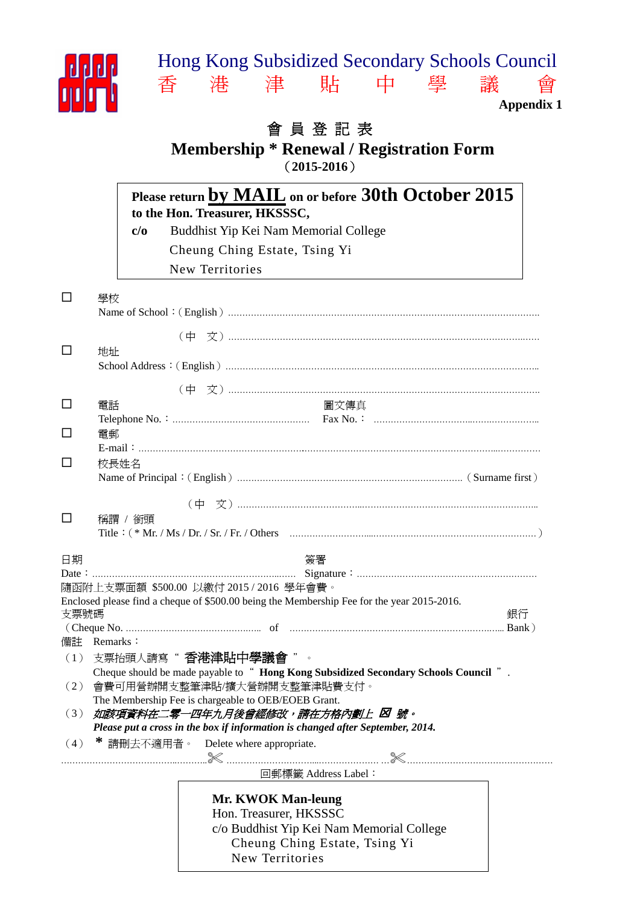# Hong Kong Subsidized Secondary Schools Council 香 港 津 貼 中 學 議 會



**Appendix 1** 

# 會 員 登 記 表

# **Membership \* Renewal / Registration Form**  (**2015-2016**)

|                   |             | Please return by MAIL on or before 30th October 2015<br>to the Hon. Treasurer, HKSSSC,     |    |
|-------------------|-------------|--------------------------------------------------------------------------------------------|----|
|                   | c/o         | Buddhist Yip Kei Nam Memorial College                                                      |    |
|                   |             | Cheung Ching Estate, Tsing Yi                                                              |    |
|                   |             | New Territories                                                                            |    |
| $\Box$            | 學校          |                                                                                            |    |
|                   |             |                                                                                            |    |
| $\Box$            | 地址          |                                                                                            |    |
|                   |             |                                                                                            |    |
|                   |             |                                                                                            |    |
| $\Box$            | 電話          | 圖文傳真                                                                                       |    |
|                   |             |                                                                                            |    |
| $\Box$            | 電郵          |                                                                                            |    |
| □                 |             |                                                                                            |    |
|                   | 校長姓名        |                                                                                            |    |
|                   |             |                                                                                            |    |
|                   |             |                                                                                            |    |
|                   | 稱謂 / 銜頭     |                                                                                            |    |
|                   |             |                                                                                            |    |
| $\Box$<br>日期      |             | 簽署                                                                                         |    |
|                   |             | 隨函附上支票面額 \$500.00 以繳付 2015 / 2016 學年會費。                                                    |    |
|                   |             | Enclosed please find a cheque of \$500.00 being the Membership Fee for the year 2015-2016. |    |
|                   |             |                                                                                            | 銀行 |
| 支票號碼              | 備計 Remarks: |                                                                                            |    |
|                   |             | (1) 支票抬頭人請寫"香港津貼中學議會"                                                                      |    |
|                   |             | Cheque should be made payable to " Hong Kong Subsidized Secondary Schools Council ".       |    |
|                   |             | 會費可用營辦開支整筆津貼/擴大營辦開支整筆津貼費支付。                                                                |    |
|                   |             | The Membership Fee is chargeable to OEB/EOEB Grant.<br>如該項資料在二零一四年九月後曾經修改,請在方格內劃上 図 號。     |    |
|                   |             | Please put a cross in the box if information is changed after September, 2014.             |    |
|                   |             | * 請刪去不適用者。 Delete where appropriate.                                                       |    |
|                   |             |                                                                                            |    |
| (2)<br>(3)<br>(4) |             | 回郵標籤 Address Label:                                                                        |    |
|                   |             | <b>Mr. KWOK Man-leung</b>                                                                  |    |
|                   |             | Hon. Treasurer, HKSSSC                                                                     |    |
|                   |             | c/o Buddhist Yip Kei Nam Memorial College<br>Cheung Ching Estate, Tsing Yi                 |    |